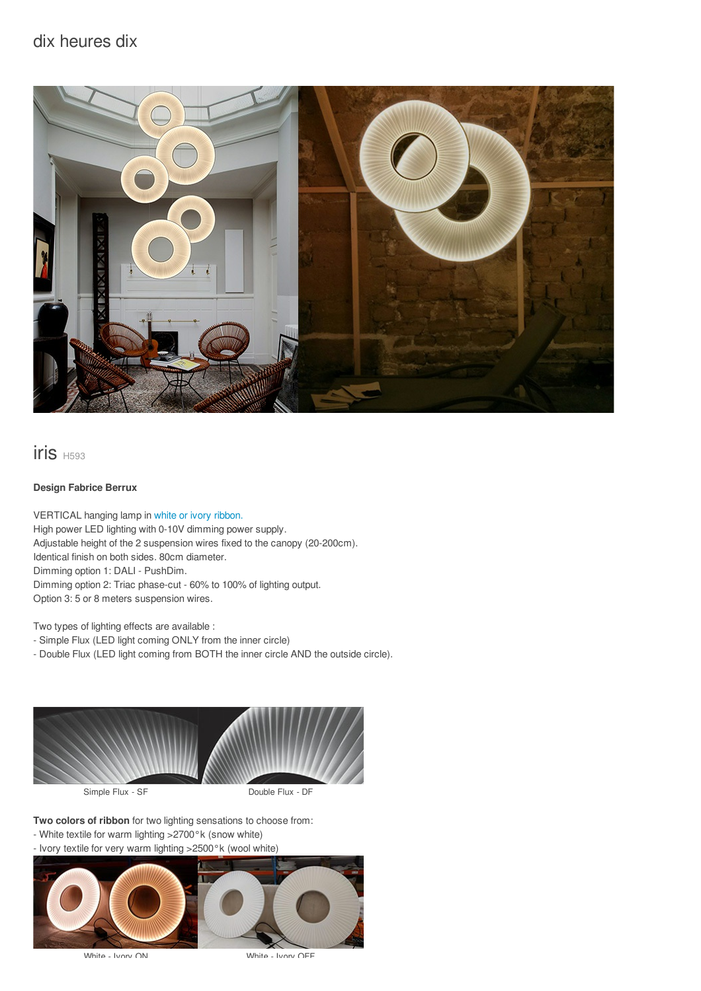# dix heures dix



# iris H593

### **Design Fabrice Berrux**

VERTICAL hanging lamp in white or ivory [ribbon.](/files/documents/compo/iris-blanc-ivoire.jpg) High power LED lighting with 0-10V dimming power supply. Adjustable height of the 2 suspension wires fixed to the canopy (20-200cm). Identical finish on both sides. 80cm diameter. Dimming option 1: DALI - PushDim. Dimming option 2: Triac phase-cut - 60% to 100% of lighting output. Option 3: 5 or 8 meters suspension wires.

Two types of lighting effects are available :

- Simple Flux (LED light coming ONLY from the inner circle)

- Double Flux (LED light coming from BOTH the inner circle AND the outside circle).



**Two colors of ribbon** for two lighting sensations to choose from:

- White textile for warm lighting >2700°k (snow white)
- Ivory textile for very warm lighting >2500°k (wool white)



White - Ivory ON White - Ivory OFF